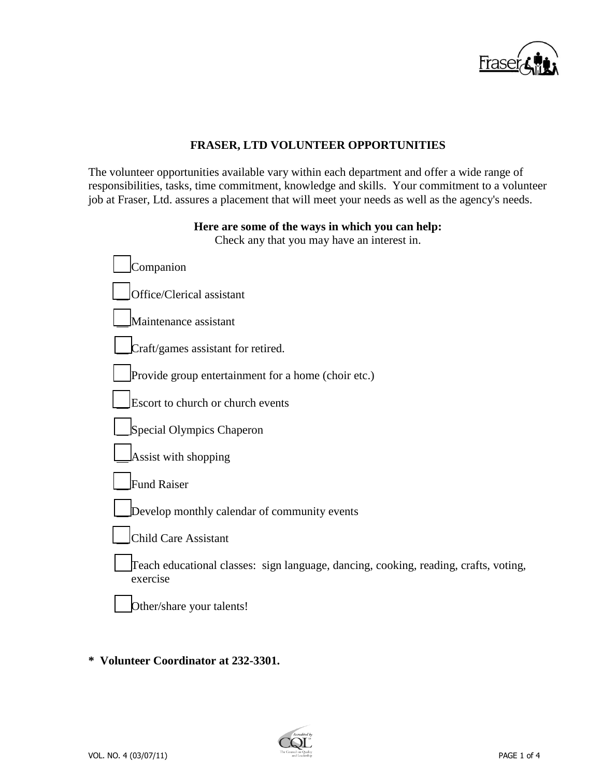

## **FRASER, LTD VOLUNTEER OPPORTUNITIES**

The volunteer opportunities available vary within each department and offer a wide range of responsibilities, tasks, time commitment, knowledge and skills. Your commitment to a volunteer job at Fraser, Ltd. assures a placement that will meet your needs as well as the agency's needs.

### **Here are some of the ways in which you can help:**

Check any that you may have an interest in.

| Companion                                                                                        |
|--------------------------------------------------------------------------------------------------|
| Office/Clerical assistant                                                                        |
| Maintenance assistant                                                                            |
| Craft/games assistant for retired.                                                               |
| Provide group entertainment for a home (choir etc.)                                              |
| Escort to church or church events                                                                |
| Special Olympics Chaperon                                                                        |
| Assist with shopping                                                                             |
| <b>Fund Raiser</b>                                                                               |
| Develop monthly calendar of community events                                                     |
| <b>Child Care Assistant</b>                                                                      |
| Teach educational classes: sign language, dancing, cooking, reading, crafts, voting,<br>exercise |
| Other/share your talents!                                                                        |

### **\* Volunteer Coordinator at 232-3301.**

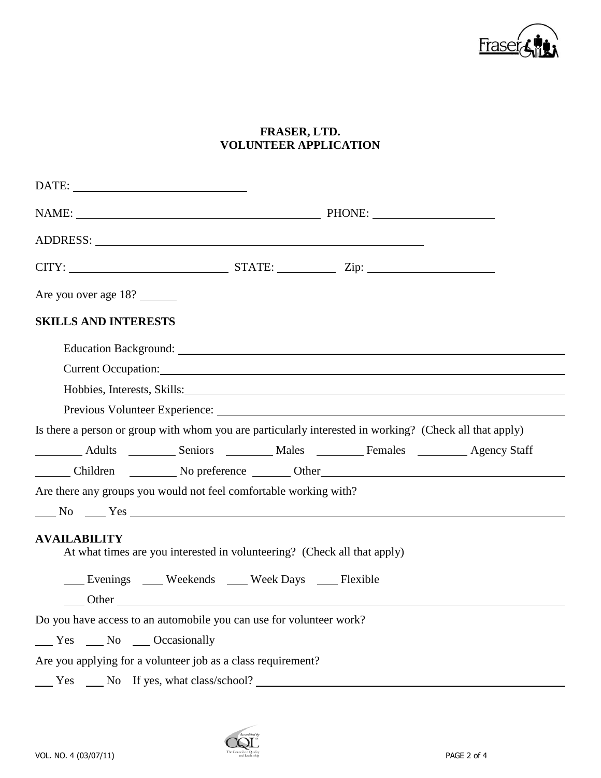

# **FRASER, LTD. VOLUNTEER APPLICATION**

| Are you over age 18?                                                                                                                                                                                                           |  |  |
|--------------------------------------------------------------------------------------------------------------------------------------------------------------------------------------------------------------------------------|--|--|
| <b>SKILLS AND INTERESTS</b>                                                                                                                                                                                                    |  |  |
|                                                                                                                                                                                                                                |  |  |
|                                                                                                                                                                                                                                |  |  |
| Hobbies, Interests, Skills:                                                                                                                                                                                                    |  |  |
|                                                                                                                                                                                                                                |  |  |
| Is there a person or group with whom you are particularly interested in working? (Check all that apply)                                                                                                                        |  |  |
| Adults __________ Seniors __________ Males __________ Females __________ Agency Staff                                                                                                                                          |  |  |
| Children No preference Other Children Number                                                                                                                                                                                   |  |  |
| Are there any groups you would not feel comfortable working with?                                                                                                                                                              |  |  |
| $N0$ $N0$ $N0$ $N0$                                                                                                                                                                                                            |  |  |
| <b>AVAILABILITY</b><br>At what times are you interested in volunteering? (Check all that apply)                                                                                                                                |  |  |
| Evenings Weekends Week Days Flexible                                                                                                                                                                                           |  |  |
| Other contracts of the contracts of the contracts of the contracts of the contracts of the contracts of the contracts of the contracts of the contracts of the contracts of the contracts of the contracts of the contracts of |  |  |
| Do you have access to an automobile you can use for volunteer work?                                                                                                                                                            |  |  |
| Yes No Occasionally                                                                                                                                                                                                            |  |  |
| Are you applying for a volunteer job as a class requirement?                                                                                                                                                                   |  |  |
| Yes No If yes, what class/school?                                                                                                                                                                                              |  |  |

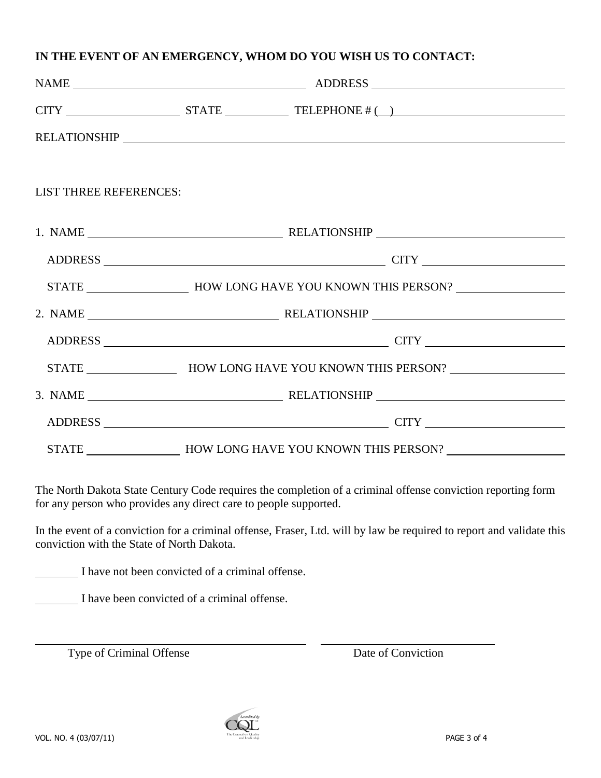### **IN THE EVENT OF AN EMERGENCY, WHOM DO YOU WISH US TO CONTACT:**

|                               | NAME ADDRESS |  |                                                                                                                                                                                                                                                                                                                                                                                                                                                                                                                                                                 |  |  |
|-------------------------------|--------------|--|-----------------------------------------------------------------------------------------------------------------------------------------------------------------------------------------------------------------------------------------------------------------------------------------------------------------------------------------------------------------------------------------------------------------------------------------------------------------------------------------------------------------------------------------------------------------|--|--|
|                               |              |  | $CITY$ $STATE$ $TELEPHONE # ()$                                                                                                                                                                                                                                                                                                                                                                                                                                                                                                                                 |  |  |
|                               |              |  |                                                                                                                                                                                                                                                                                                                                                                                                                                                                                                                                                                 |  |  |
|                               |              |  |                                                                                                                                                                                                                                                                                                                                                                                                                                                                                                                                                                 |  |  |
| <b>LIST THREE REFERENCES:</b> |              |  |                                                                                                                                                                                                                                                                                                                                                                                                                                                                                                                                                                 |  |  |
|                               |              |  |                                                                                                                                                                                                                                                                                                                                                                                                                                                                                                                                                                 |  |  |
|                               |              |  |                                                                                                                                                                                                                                                                                                                                                                                                                                                                                                                                                                 |  |  |
|                               |              |  | STATE __________________________________HOW LONG HAVE YOU KNOWN THIS PERSON? _______________________                                                                                                                                                                                                                                                                                                                                                                                                                                                            |  |  |
|                               |              |  |                                                                                                                                                                                                                                                                                                                                                                                                                                                                                                                                                                 |  |  |
|                               |              |  |                                                                                                                                                                                                                                                                                                                                                                                                                                                                                                                                                                 |  |  |
|                               |              |  | STATE _________________________HOW LONG HAVE YOU KNOWN THIS PERSON? ________________________________                                                                                                                                                                                                                                                                                                                                                                                                                                                            |  |  |
|                               |              |  | $3. NAME \underline{\hspace{2.5cm}} \underline{\hspace{2.5cm}} \underline{\hspace{2.5cm}} \underline{\hspace{2.5cm}} \underline{\hspace{2.5cm}} \underline{\hspace{2.5cm}} \underline{\hspace{2.5cm}} \underline{\hspace{2.5cm}} \underline{\hspace{2.5cm}} \underline{\hspace{2.5cm}} \underline{\hspace{2.5cm}} \underline{\hspace{2.5cm}} \underline{\hspace{2.5cm}} \underline{\hspace{2.5cm}} \underline{\hspace{2.5cm}} \underline{\hspace{2.5cm}} \underline{\hspace{2.5cm}} \underline{\hspace{2.5cm}} \underline{\hspace{2.5cm}} \underline{\hspace{2$ |  |  |
|                               |              |  | ADDRESS CONTROLLER CITY                                                                                                                                                                                                                                                                                                                                                                                                                                                                                                                                         |  |  |
|                               |              |  | STATE ________________________HOW LONG HAVE YOU KNOWN THIS PERSON? _________________________________                                                                                                                                                                                                                                                                                                                                                                                                                                                            |  |  |

The North Dakota State Century Code requires the completion of a criminal offense conviction reporting form for any person who provides any direct care to people supported.

In the event of a conviction for a criminal offense, Fraser, Ltd. will by law be required to report and validate this conviction with the State of North Dakota.

I have not been convicted of a criminal offense.

 $\overline{a}$ 

I have been convicted of a criminal offense.

Type of Criminal Offense Date of Conviction